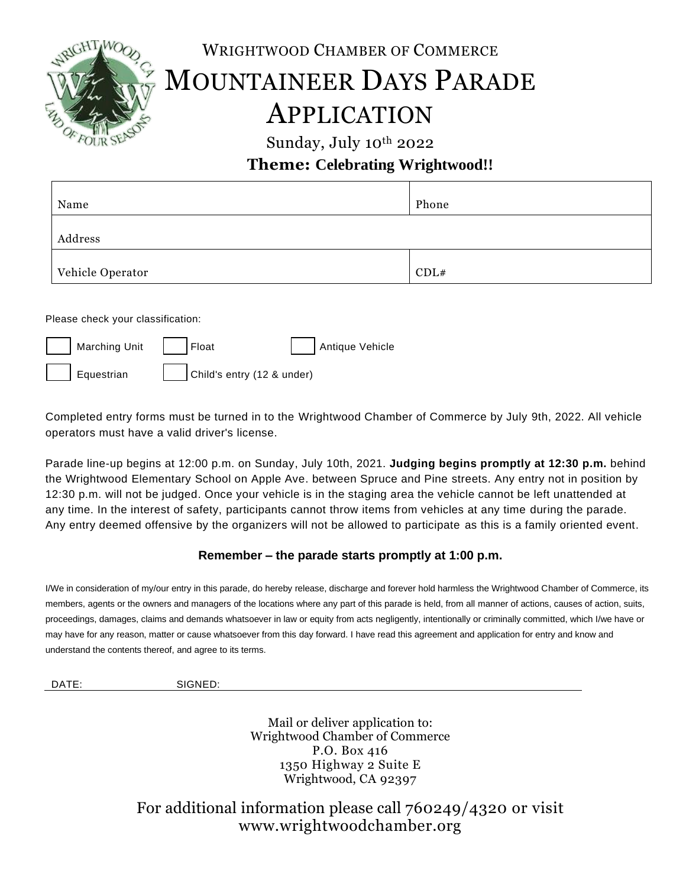

WRIGHTWOOD CHAMBER OF COMMERCE

## MOUNTAINEER DAYS PARADE APPLICATION

Sunday, July 10th 2022

## **Theme: Celebrating Wrightwood!!**

| Name             | Phone |
|------------------|-------|
| Address          |       |
| Vehicle Operator | CDL#  |

Please check your classification:

| Marching Unit     Float |                                    | Antique Vehicle |
|-------------------------|------------------------------------|-----------------|
| Equestrian              | $\vert$ Child's entry (12 & under) |                 |

Completed entry forms must be turned in to the Wrightwood Chamber of Commerce by July 9th, 2022. All vehicle operators must have a valid driver's license.

Parade line-up begins at 12:00 p.m. on Sunday, July 10th, 2021. **Judging begins promptly at 12:30 p.m.** behind the Wrightwood Elementary School on Apple Ave. between Spruce and Pine streets. Any entry not in position by 12:30 p.m. will not be judged. Once your vehicle is in the staging area the vehicle cannot be left unattended at any time. In the interest of safety, participants cannot throw items from vehicles at any time during the parade. Any entry deemed offensive by the organizers will not be allowed to participate as this is a family oriented event.

## **Remember – the parade starts promptly at 1:00 p.m.**

I/We in consideration of my/our entry in this parade, do hereby release, discharge and forever hold harmless the Wrightwood Chamber of Commerce, its members, agents or the owners and managers of the locations where any part of this parade is held, from all manner of actions, causes of action, suits, proceedings, damages, claims and demands whatsoever in law or equity from acts negligently, intentionally or criminally committed, which I/we have or may have for any reason, matter or cause whatsoever from this day forward. I have read this agreement and application for entry and know and understand the contents thereof, and agree to its terms.

DATE: SIGNED:

Mail or deliver application to: Wrightwood Chamber of Commerce P.O. Box 416 1350 Highway 2 Suite E Wrightwood, CA 92397

For additional information please call 760249/4320 or visit www.wrightwoodchamber.org